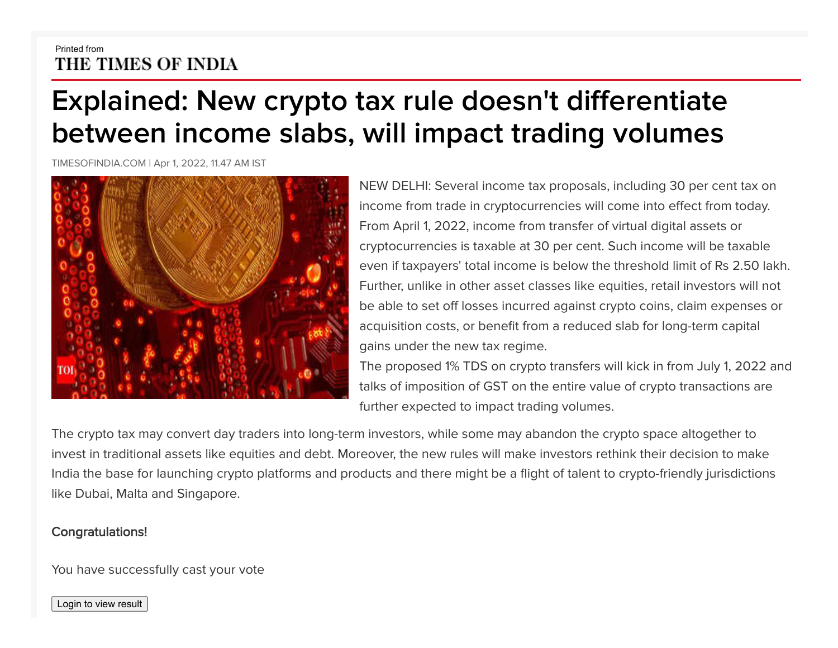## Printed from THE TIMES OF INDIA

## **Explained: New crypto tax rule doesn't differentiate between income slabs, will impact trading volumes**

TIMESOFINDIA.COM | Apr 1, 2022, 11.47 AM IST



NEW DELHI: Several income tax proposals, including 30 per cent tax on income from trade in cryptocurrencies will come into effect from today. From April 1, 2022, income from transfer of virtual digital assets or cryptocurrencies is taxable at 30 per cent. Such income will be taxable even if taxpayers' total income is below the threshold limit of Rs 2.50 lakh. Further, unlike in other asset classes like equities, retail investors will not be able to set off losses incurred against crypto coins, claim expenses or acquisition costs, or benefit from a reduced slab for long-term capital gains under the new tax regime.

The proposed 1% TDS on crypto transfers will kick in from July 1, 2022 and talks of imposition of GST on the entire value of crypto transactions are further expected to impact trading volumes.

The crypto tax may convert day traders into long-term investors, while some may abandon the crypto space altogether to invest in traditional assets like equities and debt. Moreover, the new rules will make investors rethink their decision to make India the base for launching crypto platforms and products and there might be a flight of talent to crypto-friendly jurisdictions like Dubai, Malta and Singapore.

## Congratulations!

You have successfully cast your vote

Login to view result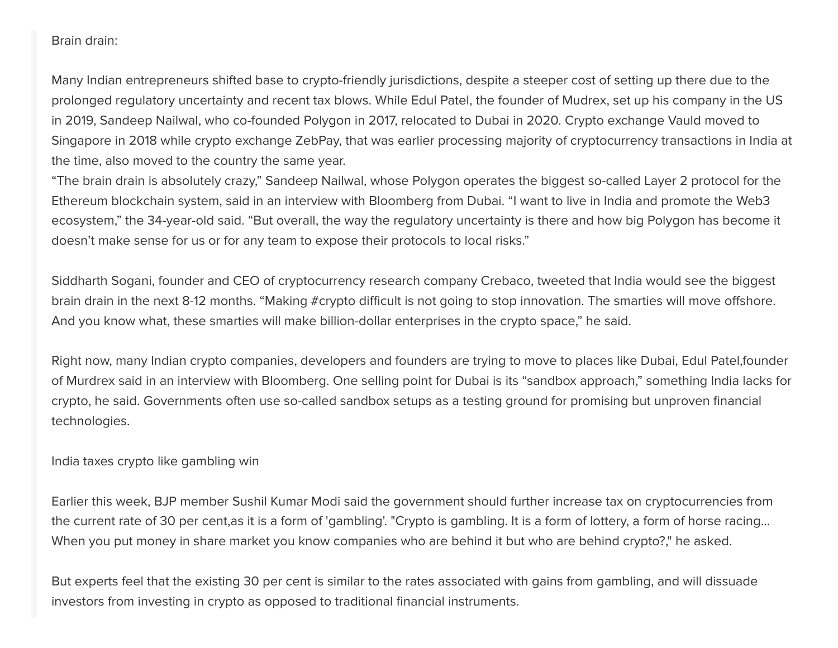## Brain drain:

Many Indian entrepreneurs shifted base to crypto-friendly jurisdictions, despite a steeper cost of setting up there due to the prolonged regulatory uncertainty and recent tax blows. While Edul Patel, the founder of Mudrex, set up his company in the US in 2019, Sandeep Nailwal, who co-founded Polygon in 2017, relocated to Dubai in 2020. Crypto exchange Vauld moved to Singapore in 2018 while crypto exchange ZebPay, that was earlier processing majority of cryptocurrency transactions in India at the time, also moved to the country the same year.

"The brain drain is absolutely crazy," Sandeep Nailwal, whose Polygon operates the biggest so-called Layer 2 protocol for the Ethereum blockchain system, said in an interview with Bloomberg from Dubai. "I want to live in India and promote the Web3 ecosystem," the 34-year-old said. "But overall, the way the regulatory uncertainty is there and how big Polygon has become it doesn't make sense for us or for any team to expose their protocols to local risks."

Siddharth Sogani, founder and CEO of cryptocurrency research company Crebaco, tweeted that India would see the biggest brain drain in the next 8-12 months. "Making #crypto difficult is not going to stop innovation. The smarties will move offshore. And you know what, these smarties will make billion-dollar enterprises in the crypto space," he said.

Right now, many Indian crypto companies, developers and founders are trying to move to places like Dubai, Edul Patel,founder of Murdrex said in an interview with Bloomberg. One selling point for Dubai is its "sandbox approach," something India lacks for crypto, he said. Governments often use so-called sandbox setups as a testing ground for promising but unproven financial technologies.

India taxes crypto like gambling win

Earlier this week, BJP member Sushil Kumar Modi said the government should further increase tax on cryptocurrencies from the current rate of 30 per cent,as it is a form of 'gambling'. "Crypto is gambling. It is a form of lottery, a form of horse racing... When you put money in share market you know companies who are behind it but who are behind crypto?," he asked.

But experts feel that the existing 30 per cent is similar to the rates associated with gains from gambling, and will dissuade investors from investing in crypto as opposed to traditional financial instruments.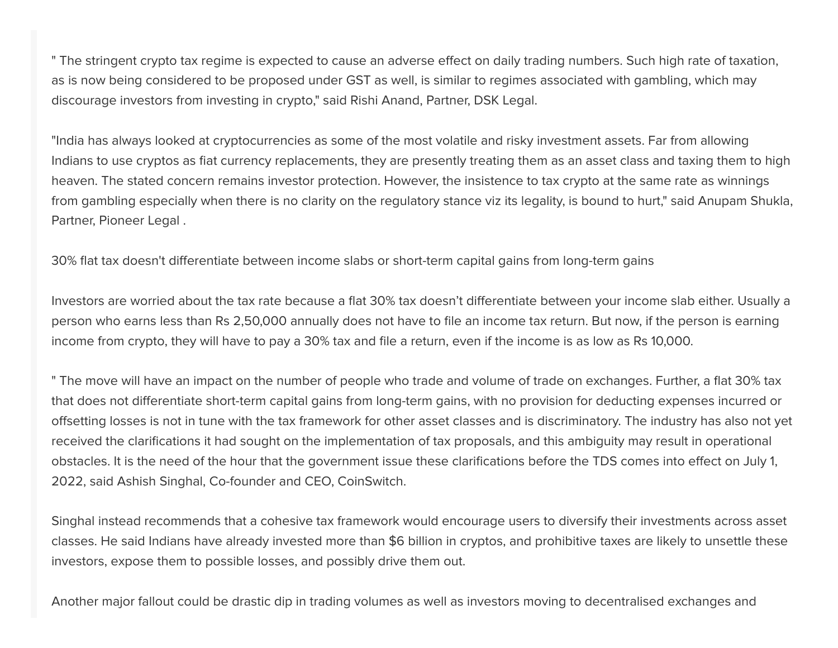" The stringent crypto tax regime is expected to cause an adverse effect on daily trading numbers. Such high rate of taxation, as is now being considered to be proposed under GST as well, is similar to regimes associated with gambling, which may discourage investors from investing in crypto," said Rishi Anand, Partner, DSK Legal.

"India has always looked at cryptocurrencies as some of the most volatile and risky investment assets. Far from allowing Indians to use cryptos as fiat currency replacements, they are presently treating them as an asset class and taxing them to high heaven. The stated concern remains investor protection. However, the insistence to tax crypto at the same rate as winnings from gambling especially when there is no clarity on the regulatory stance viz its legality, is bound to hurt," said Anupam Shukla, Partner, Pioneer Legal .

30% flat tax doesn't differentiate between income slabs or short-term capital gains from long-term gains

Investors are worried about the tax rate because a flat 30% tax doesn't differentiate between your income slab either. Usually a person who earns less than Rs 2,50,000 annually does not have to file an income tax return. But now, if the person is earning income from crypto, they will have to pay a 30% tax and file a return, even if the income is as low as Rs 10,000.

" The move will have an impact on the number of people who trade and volume of trade on exchanges. Further, a flat 30% tax that does not differentiate short-term capital gains from long-term gains, with no provision for deducting expenses incurred or offsetting losses is not in tune with the tax framework for other asset classes and is discriminatory. The industry has also not yet received the clarifications it had sought on the implementation of tax proposals, and this ambiguity may result in operational obstacles. It is the need of the hour that the government issue these clarifications before the TDS comes into effect on July 1, 2022, said Ashish Singhal, Co-founder and CEO, CoinSwitch.

Singhal instead recommends that a cohesive tax framework would encourage users to diversify their investments across asset classes. He said Indians have already invested more than \$6 billion in cryptos, and prohibitive taxes are likely to unsettle these investors, expose them to possible losses, and possibly drive them out.

Another major fallout could be drastic dip in trading volumes as well as investors moving to decentralised exchanges and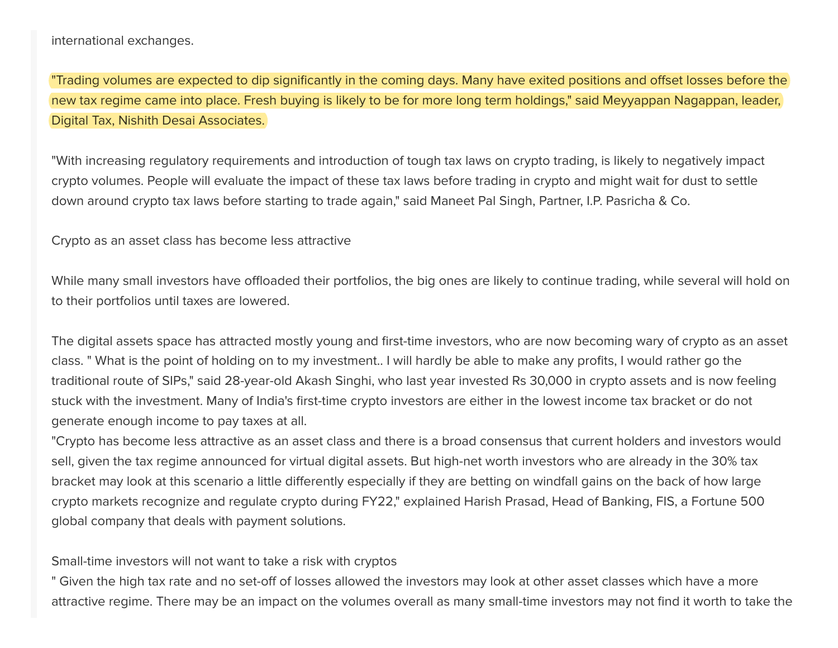international exchanges.

"Trading volumes are expected to dip significantly in the coming days. Many have exited positions and offset losses before the new tax regime came into place. Fresh buying is likely to be for more long term holdings," said Meyyappan Nagappan, leader, Digital Tax, Nishith Desai Associates.

"With increasing regulatory requirements and introduction of tough tax laws on crypto trading, is likely to negatively impact crypto volumes. People will evaluate the impact of these tax laws before trading in crypto and might wait for dust to settle down around crypto tax laws before starting to trade again," said Maneet Pal Singh, Partner, I.P. Pasricha & Co.

Crypto as an asset class has become less attractive

While many small investors have offloaded their portfolios, the big ones are likely to continue trading, while several will hold on to their portfolios until taxes are lowered.

The digital assets space has attracted mostly young and first-time investors, who are now becoming wary of crypto as an asset class. " What is the point of holding on to my investment.. I will hardly be able to make any profits, I would rather go the traditional route of SIPs," said 28-year-old Akash Singhi, who last year invested Rs 30,000 in crypto assets and is now feeling stuck with the investment. Many of India's first-time crypto investors are either in the lowest income tax bracket or do not generate enough income to pay taxes at all.

"Crypto has become less attractive as an asset class and there is a broad consensus that current holders and investors would sell, given the tax regime announced for virtual digital assets. But high-net worth investors who are already in the 30% tax bracket may look at this scenario a little differently especially if they are betting on windfall gains on the back of how large crypto markets recognize and regulate crypto during FY22," explained Harish Prasad, Head of Banking, FIS, a Fortune 500 global company that deals with payment solutions.

Small-time investors will not want to take a risk with cryptos

" Given the high tax rate and no set-off of losses allowed the investors may look at other asset classes which have a more attractive regime. There may be an impact on the volumes overall as many small-time investors may not find it worth to take the